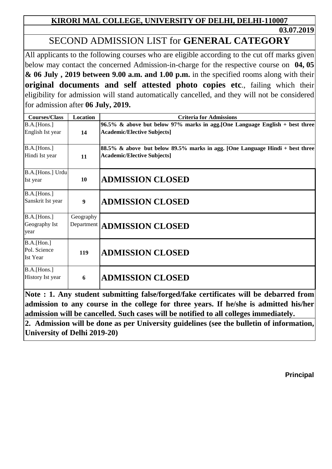**03.07.2019**

# SECOND ADMISSION LIST for **GENERAL CATEGORY**

All applicants to the following courses who are eligible according to the cut off marks given below may contact the concerned Admission-in-charge for the respective course on **04, 05 & 06 July , 2019 between 9.00 a.m. and 1.00 p.m.** in the specified rooms along with their **original documents and self attested photo copies etc**., failing which their eligibility for admission will stand automatically cancelled, and they will not be considered for admission after **06 July, 2019.**

| <b>Courses/Class</b>                            | Location                | <b>Criteria for Admissions</b>                                                                                     |
|-------------------------------------------------|-------------------------|--------------------------------------------------------------------------------------------------------------------|
| B.A.[Hons.]<br>English Ist year                 | 14                      | 96.5% & above but below 97% marks in agg. [One Language English + best three<br><b>Academic/Elective Subjects]</b> |
| B.A.[Hons.]<br>Hindi Ist year                   | 11                      | 88.5% & above but below 89.5% marks in agg. [One Language Hindi + best three<br><b>Academic/Elective Subjects]</b> |
| B.A.[Hons.] Urdu<br>Ist year                    | 10                      | <b>ADMISSION CLOSED</b>                                                                                            |
| B.A.[Hons.]<br>Sanskrit Ist year                | 9                       | <b>ADMISSION CLOSED</b>                                                                                            |
| B.A.[Hons.]<br>Geography Ist<br>year            | Geography<br>Department | <b>ADMISSION CLOSED</b>                                                                                            |
| B.A.[ <i>Hom.</i> ]<br>Pol. Science<br>Ist Year | 119                     | <b>ADMISSION CLOSED</b>                                                                                            |
| B.A.[Hons.]<br>History Ist year                 | 6                       | <b>ADMISSION CLOSED</b>                                                                                            |

**Note** : **1.** Any student submitting false/forged/fake certificates will b **admission to any course in the college for three years. If he/she is admitted his/her admission will be cancelled. Such cases will be notified to all colleges immediately.**

**2. Admission will be done as per University guidelines (see the bulletin of information, University of Delhi 2019-20)**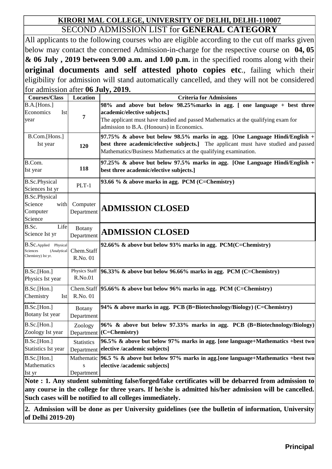### **KIRORI MAL COLLEGE, UNIVERSITY OF DELHI, DELHI-110007** SECOND ADMISSION LIST for **GENERAL CATEGORY**

All applicants to the following courses who are eligible according to the cut off marks given below may contact the concerned Admission-in-charge for the respective course on **04, 05 & 06 July , 2019 between 9.00 a.m. and 1.00 p.m.** in the specified rooms along with their **original documents and self attested photo copies etc**., failing which their eligibility for admission will stand automatically cancelled, and they will not be considered for admission after **06 July, 2019.**

| <b>Courses/Class</b>                                                   | Location                        | <b>Criteria for Admissions</b>                                                                                                                                                                                                             |
|------------------------------------------------------------------------|---------------------------------|--------------------------------------------------------------------------------------------------------------------------------------------------------------------------------------------------------------------------------------------|
| B.A.[Hons.]<br>Economics<br><b>Ist</b><br>year                         | 7                               | 98% and above but below 98.25% marks in agg. [ one language + best three<br>academic/elective subjects.]<br>The applicant must have studied and passed Mathematics at the qualifying exam for<br>admission to B.A. (Honours) in Economics. |
| B.Com.[Hons.]<br>Ist year                                              | 120                             | 97.75% & above but below 98.5% marks in agg. [One Language Hindi/English $+$<br>best three academic/elective subjects.] The applicant must have studied and passed<br>Mathematics/Business Mathematics at the qualifying examination.      |
| B.Com.<br>Ist year                                                     | 118                             | 97.25% & above but below 97.5% marks in agg. [One Language Hindi/English +<br>best three academic/elective subjects.]                                                                                                                      |
| <b>B.Sc.Physical</b><br>Sciences Ist yr                                | $PLT-1$                         | 93.66 % & above marks in agg. PCM (C=Chemistry)                                                                                                                                                                                            |
| <b>B.Sc.Physical</b><br>Science<br>with<br>Computer<br>Science         | Computer<br>Department          | <b>ADMISSION CLOSED</b>                                                                                                                                                                                                                    |
| B.Sc.<br>Life<br>Science Ist yr                                        | Botany<br>Department            | <b>ADMISSION CLOSED</b>                                                                                                                                                                                                                    |
| B.Sc.Applied Physical<br>Sciences<br>(Analytical<br>Chemistry) Ist yr. | Chem.Staff<br>R.No. 01          | 92.66% & above but below 93% marks in agg. PCM(C=Chemistry)                                                                                                                                                                                |
| B.Sc.[Hon.]<br>Physics Ist year                                        | Physics Staff<br>R.No.01        | 96.33% & above but below 96.66% marks in agg. PCM (C=Chemistry)                                                                                                                                                                            |
| B.Sc.[Hon.]<br>Chemistry<br><b>Ist</b>                                 | R.No. 01                        | Chem.Staff $ 95.66\%$ & above but below 96% marks in agg. PCM (C=Chemistry)                                                                                                                                                                |
| B.Sc.[Hon.]<br>Botany Ist year                                         | <b>Botany</b><br>Department     | 94% & above marks in agg. PCB (B=Biotechnology/Biology) (C=Chemistry)                                                                                                                                                                      |
| B.Sc.[Hon.]<br>Zoology Ist year                                        | Zoology<br>Department           | 96% & above but below 97.33% marks in agg. PCB (B=Biotechnology/Biology)<br>$(C=Chemistry)$                                                                                                                                                |
| B.Sc.[Hon.]<br>Statistics Ist year                                     | <b>Statistics</b><br>Department | 96.5% & above but below 97% marks in agg. [one language+Mathematics +best two<br>elective /academic subjects]                                                                                                                              |
| B.Sc.[Hon.]<br>Mathematics<br>Ist yr                                   | S<br>Department                 | Mathematic 96.5 % & above but below 97% marks in agg. [one language+Mathematics +best two<br>elective /academic subjects]<br>Note · 1 Any student submitting folse/forged/folse certificates will be debarred from admission to            |

**Note : 1. Any student submitting false/forged/fake certificates will be debarred from admission to any course in the college for three years. If he/she is admitted his/her admission will be cancelled. Such cases will be notified to all colleges immediately.**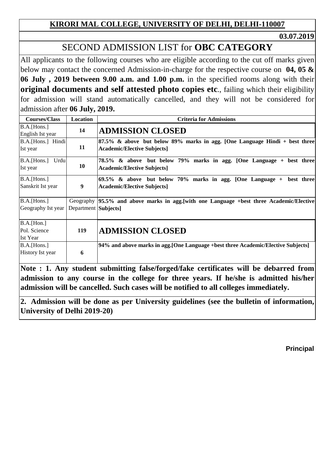**03.07.2019**

# SECOND ADMISSION LIST for **OBC CATEGORY**

All applicants to the following courses who are eligible according to the cut off marks given below may contact the concerned Admission-in-charge for the respective course on **04, 05 & 06 July , 2019 between 9.00 a.m. and 1.00 p.m.** in the specified rooms along with their **original documents and self attested photo copies etc**., failing which their eligibility for admission will stand automatically cancelled, and they will not be considered for admission after **06 July, 2019.**

| <b>Courses/Class</b>                            | Location             | <b>Criteria for Admissions</b>                                                                                       |
|-------------------------------------------------|----------------------|----------------------------------------------------------------------------------------------------------------------|
| B.A.[Hons.]<br>English Ist year                 | 14                   | <b>ADMISSION CLOSED</b>                                                                                              |
| B.A.[Hons.] Hindi<br>Ist year                   | 11                   | $87.5\%$ & above but below 89% marks in agg. [One Language Hindi + best three]<br><b>Academic/Elective Subjects]</b> |
| B.A.[Hons.]<br>Urdu<br>Ist year                 | 10                   | 78.5% & above but below 79% marks in agg. [One Language + best three]<br><b>Academic/Elective Subjects]</b>          |
| B.A.[Hons.]<br>Sanskrit Ist year                | 9                    | $69.5\%$ & above but below 70% marks in agg. [One Language + best three]<br><b>Academic/Elective Subjects]</b>       |
| B.A.[Hons.]<br>Geography Ist year               | Department Subjects] | Geography 95.5% and above marks in agg. [with one Language +best three Academic/Elective                             |
| B.A.[ <i>Hom.</i> ]<br>Pol. Science<br>Ist Year | 119                  | <b>ADMISSION CLOSED</b>                                                                                              |
| B.A.[Hons.]<br>History Ist year                 | 6                    | 94% and above marks in agg. [One Language +best three Academic/Elective Subjects]                                    |

**Note : 1. Any student submitting false/forged/fake certificates will be debarred from admission to any course in the college for three years. If he/she is admitted his/her admission will be cancelled. Such cases will be notified to all colleges immediately.**

**2. Admission will be done as per University guidelines (see the bulletin of information, University of Delhi 2019-20)**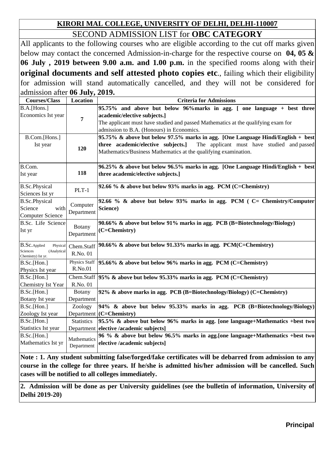### **KIRORI MAL COLLEGE, UNIVERSITY OF DELHI, DELHI-110007** SECOND ADMISSION LIST for **OBC CATEGORY**

All applicants to the following courses who are eligible according to the cut off marks given below may contact the concerned Admission-in-charge for the respective course on **04, 05 & 06 July , 2019 between 9.00 a.m. and 1.00 p.m.** in the specified rooms along with their **original documents and self attested photo copies etc**., failing which their eligibility for admission will stand automatically cancelled, and they will not be considered for admission after **06 July, 2019.**

| <b>Courses/Class</b>                                        | $\sim$ $\sim$ $\sim$ $\sim$ $\sim$<br>Location | <b>Criteria for Admissions</b>                                                    |
|-------------------------------------------------------------|------------------------------------------------|-----------------------------------------------------------------------------------|
| B.A.[Hons.]                                                 |                                                | 95.75% and above but below 96% marks in agg. [ one language + best three          |
| Economics Ist year                                          |                                                | academic/elective subjects.]                                                      |
|                                                             | 7                                              | The applicant must have studied and passed Mathematics at the qualifying exam for |
|                                                             |                                                | admission to B.A. (Honours) in Economics.                                         |
| B.Com.[Hons.]                                               |                                                | 95.75% & above but below 97.5% marks in agg. [One Language Hindi/English + best]  |
| Ist year                                                    | 120                                            | three academic/elective subjects.]<br>The applicant must have studied and passed  |
|                                                             |                                                | Mathematics/Business Mathematics at the qualifying examination.                   |
| B.Com.                                                      |                                                | 96.25% & above but below 96.5% marks in agg. [One Language Hindi/English + best]  |
| Ist year                                                    | 118                                            | three academic/elective subjects.]                                                |
|                                                             |                                                |                                                                                   |
| <b>B.Sc.Physical</b>                                        | $PLT-1$                                        | 92.66 % & above but below 93% marks in agg. PCM (C=Chemistry)                     |
| Sciences Ist yr                                             |                                                |                                                                                   |
| <b>B.Sc.Physical</b>                                        | Computer                                       | 92.66 % & above but below 93% marks in agg. PCM (C= Chemistry/Computer)           |
| Science<br>with                                             | Department                                     | Science)                                                                          |
| <b>Computer Science</b>                                     |                                                |                                                                                   |
| B.Sc. Life Science                                          | <b>Botany</b>                                  | 90.66% & above but below 91% marks in agg. PCB (B=Biotechnology/Biology)          |
| Ist yr                                                      | Department                                     | (C=Chemistry)                                                                     |
|                                                             |                                                |                                                                                   |
| <b>B.Sc.</b> Applied<br>Physical<br>Sciences<br>(Analytical | Chem.Staff                                     | $90.66\%$ & above but below 91.33% marks in agg. PCM(C=Chemistry)                 |
| Chemistry) Ist yr.                                          | R.No. 01                                       |                                                                                   |
| B.Sc.[Hon.]                                                 | Physics Staff                                  | $95.66\%$ & above but below 96% marks in agg. PCM (C=Chemistry)                   |
| Physics Ist year                                            | R.No.01                                        |                                                                                   |
| B.Sc.[Hon.]                                                 | Chem.Staff                                     | $ 95\% \&$ above but below 95.33% marks in agg. PCM (C=Chemistry)                 |
| <b>Chemistry Ist Year</b>                                   | R.No. 01                                       |                                                                                   |
| B.Sc.[Hon.]                                                 | <b>Botany</b>                                  | 92% & above marks in agg. PCB (B=Biotechnology/Biology) (C=Chemistry)             |
| Botany Ist year                                             | Department                                     |                                                                                   |
| B.Sc.[Hon.]                                                 | Zoology                                        | 94% & above but below 95.33% marks in agg. PCB (B=Biotechnology/Biology)          |
| Zoology Ist year                                            |                                                | Department (C=Chemistry)                                                          |
| B.Sc.[ <sub>Hom.</sub> ]                                    | <b>Statistics</b>                              | 95.5% & above but below 96% marks in agg. [one language+Mathematics +best two]    |
| Statistics Ist year                                         |                                                | Department elective /academic subjects]                                           |
| B.Sc.[ <sub>Hom.</sub> ]                                    | Mathematics                                    | 96 % & above but below 96.5% marks in agg. [one language+Mathematics +best two    |
| Mathematics Ist yr                                          | Department                                     | elective /academic subjects]                                                      |
|                                                             |                                                |                                                                                   |

**Note : 1. Any student submitting false/forged/fake certificates will be debarred from admission to any course in the college for three years. If he/she is admitted his/her admission will be cancelled. Such cases will be notified to all colleges immediately.**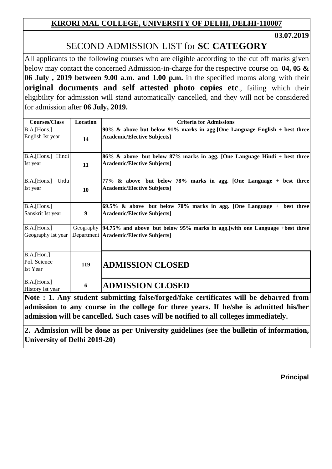**03.07.2019**

# SECOND ADMISSION LIST for **SC CATEGORY**

All applicants to the following courses who are eligible according to the cut off marks given below may contact the concerned Admission-in-charge for the respective course on **04, 05 & 06 July , 2019 between 9.00 a.m. and 1.00 p.m.** in the specified rooms along with their **original documents and self attested photo copies etc**., failing which their eligibility for admission will stand automatically cancelled, and they will not be considered for admission after **06 July, 2019.**

| <b>Courses/Class</b>                                       | Location         | <b>Criteria for Admissions</b>                                                                                                    |
|------------------------------------------------------------|------------------|-----------------------------------------------------------------------------------------------------------------------------------|
| B.A.[Hons.]<br>English Ist year                            | 14               | 90% & above but below 91% marks in agg. [One Language English + best three<br><b>Academic/Elective Subjects]</b>                  |
| B.A.[Hons.] Hindi<br>Ist year                              | 11               | 86% & above but below 87% marks in agg. [One Language Hindi + best three]<br><b>Academic/Elective Subjects]</b>                   |
| Urdu<br>B.A.[Hons.]<br>Ist year                            | 10               | 77% & above but below 78% marks in agg. [One Language + best three]<br><b>Academic/Elective Subjects]</b>                         |
| B.A.[Hons.]<br>Sanskrit Ist year                           | $\boldsymbol{9}$ | 69.5% & above but below 70% marks in agg. [One Language + best three<br><b>Academic/Elective Subjects]</b>                        |
| B.A.[Hons.]<br>Geography Ist year                          |                  | Geography 94.75% and above but below 95% marks in agg. [with one Language +best three<br>Department   Academic/Elective Subjects] |
| B.A.[ <sub>Hom.</sub> ]<br>Pol. Science<br><b>Ist Year</b> | 119              | <b>ADMISSION CLOSED</b>                                                                                                           |
| B.A.[Hons.]<br>History Ist year                            | 6                | <b>ADMISSION CLOSED</b><br>$\cdots$<br>. .<br>$\blacksquare$                                                                      |

**Note : 1. Any student submitting false/forged/fake certificates will be debarred from admission to any course in the college for three years. If he/she is admitted his/her admission will be cancelled. Such cases will be notified to all colleges immediately.**

**2. Admission will be done as per University guidelines (see the bulletin of information, University of Delhi 2019-20)**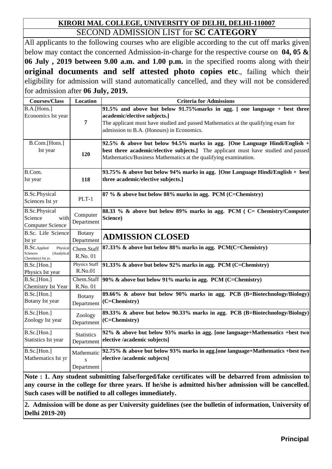### **KIRORI MAL COLLEGE, UNIVERSITY OF DELHI, DELHI-110007** SECOND ADMISSION LIST for **SC CATEGORY**

All applicants to the following courses who are eligible according to the cut off marks given below may contact the concerned Admission-in-charge for the respective course on **04, 05 & 06 July , 2019 between 9.00 a.m. and 1.00 p.m.** in the specified rooms along with their **original documents and self attested photo copies etc**., failing which their eligibility for admission will stand automatically cancelled, and they will not be considered for admission after **06 July, 2019.**

| <b>Courses/Class</b>                                                                     | <b>Location</b>                                     | <b>Criteria for Admissions</b>                                                                                                                                                                                                               |
|------------------------------------------------------------------------------------------|-----------------------------------------------------|----------------------------------------------------------------------------------------------------------------------------------------------------------------------------------------------------------------------------------------------|
| B.A.[Hons.]<br>Economics Ist year                                                        | $\overline{7}$                                      | 91.5% and above but below 91.75% marks in agg. [ one language + best three<br>academic/elective subjects.]<br>The applicant must have studied and passed Mathematics at the qualifying exam for<br>admission to B.A. (Honours) in Economics. |
| B.Com.[Hons.]<br>Ist year                                                                | 120                                                 | 92.5% & above but below 94.5% marks in agg. [One Language Hindi/English +<br>best three academic/elective subjects.] The applicant must have studied and passed<br>Mathematics/Business Mathematics at the qualifying examination.           |
| B.Com.<br>Ist year                                                                       | 118                                                 | 93.75% & above but below 94% marks in agg. [One Language Hindi/English + best]<br>three academic/elective subjects.]                                                                                                                         |
| <b>B.Sc.Physical</b><br>Sciences Ist yr                                                  | $PLT-1$                                             | 87 % & above but below 88% marks in agg. PCM (C=Chemistry)                                                                                                                                                                                   |
| <b>B.Sc.Physical</b><br>Science<br>with<br><b>Computer Science</b>                       | Computer<br>Department                              | 88.33 % & above but below 89% marks in agg. PCM (C= Chemistry/Computer<br>Science)                                                                                                                                                           |
| B.Sc. Life Science<br>Ist yr                                                             | Botany<br>Department                                | <b>ADMISSION CLOSED</b>                                                                                                                                                                                                                      |
| <b>B.Sc.</b> Applied<br>Physical<br><b>Sciences</b><br>(Analytical<br>Chemistry) Ist yr. | Chem.Staff<br>R.No. 01                              | 87.33% & above but below 88% marks in agg. PCM(C=Chemistry)                                                                                                                                                                                  |
| B.Sc.[Hon.]<br>Physics Ist year                                                          | <b>Physics Staff</b><br>R.No.01                     | 91.33% & above but below 92% marks in agg. PCM (C=Chemistry)                                                                                                                                                                                 |
| B.Sc.[Hon.]<br>Chemistry Ist Year                                                        | Chem.Staff<br>R.No. 01                              | $90\%$ & above but below 91% marks in agg. PCM (C=Chemistry)                                                                                                                                                                                 |
| B.Sc.[Hon.]<br>Botany Ist year                                                           | Botany<br>Department                                | 89.66% & above but below 90% marks in agg. PCB (B=Biotechnology/Biology)<br>(C=Chemistry)                                                                                                                                                    |
| B.Sc.[Hon.]<br>Zoology Ist year                                                          | Zoology<br>Department                               | 89.33% & above but below 90.33% marks in agg. PCB (B=Biotechnology/Biology)<br>(C=Chemistry)                                                                                                                                                 |
| B.Sc.[Hon.]<br>Statistics Ist year                                                       | <b>Statistics</b><br>Department                     | 92% & above but below 93% marks in agg. [one language+Mathematics +best two<br>elective /academic subjects]                                                                                                                                  |
| B.Sc.[Hon.]<br>Mathematics Ist yr                                                        | Mathematic<br>$\overline{\mathbf{s}}$<br>Department | 92.75% & above but below 93% marks in agg. [one language+Mathematics +best two<br>elective /academic subjects]                                                                                                                               |

**Note : 1. Any student submitting false/forged/fake certificates will be debarred from admission to any course in the college for three years. If he/she is admitted his/her admission will be cancelled. Such cases will be notified to all colleges immediately.**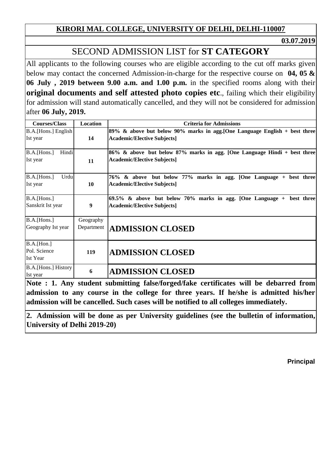**03.07.2019**

# SECOND ADMISSION LIST for **ST CATEGORY**

All applicants to the following courses who are eligible according to the cut off marks given below may contact the concerned Admission-in-charge for the respective course on **04, 05 & 06 July , 2019 between 9.00 a.m. and 1.00 p.m.** in the specified rooms along with their **original documents and self attested photo copies etc**., failing which their eligibility for admission will stand automatically cancelled, and they will not be considered for admission after **06 July, 2019.**

| <b>Courses/Class</b>                   | Location                | <b>Criteria for Admissions</b>                                                                                     |
|----------------------------------------|-------------------------|--------------------------------------------------------------------------------------------------------------------|
| B.A.[Hons.] English<br>Ist year        | 14                      | 89% & above but below 90% marks in agg. [One Language English $+$ best three<br><b>Academic/Elective Subjects]</b> |
| Hindi<br>B.A.[Hons.]<br>Ist year       | 11                      | 86% & above but below 87% marks in agg. [One Language Hindi + best three<br><b>Academic/Elective Subjects]</b>     |
| B.A.[Hons.]<br>Urdu<br>Ist year        | 10                      | 76% & above but below 77% marks in agg. [One Language + best three<br><b>Academic/Elective Subjects]</b>           |
| B.A.[Hons.]<br>Sanskrit Ist year       | 9                       | $69.5\%$ & above but below 70% marks in agg. [One Language + best three<br><b>Academic/Elective Subjects]</b>      |
| B.A.[Hons.]<br>Geography Ist year      | Geography<br>Department | <b>ADMISSION CLOSED</b>                                                                                            |
| B.A.[Hon.]<br>Pol. Science<br>Ist Year | 119                     | <b>ADMISSION CLOSED</b>                                                                                            |
| B.A. [Hons.] History<br>Ist year       | 6                       | <b>ADMISSION CLOSED</b><br>Note : 1 Apr student submitting folge forgod folge certificates will be depended from   |

**Note : 1. Any student submitting false/forged/fake certificates will be debarred from admission to any course in the college for three years. If he/she is admitted his/her admission will be cancelled. Such cases will be notified to all colleges immediately.**

**2. Admission will be done as per University guidelines (see the bulletin of information, University of Delhi 2019-20)**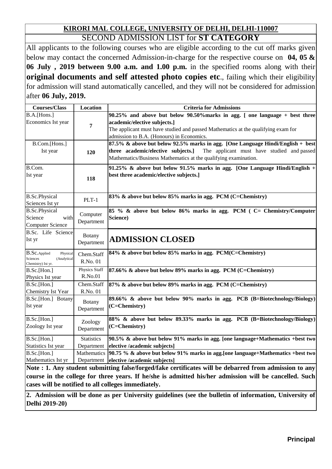#### **KIRORI MAL COLLEGE, UNIVERSITY OF DELHI, DELHI-110007** SECOND ADMISSION LIST for **ST CATEGORY**

All applicants to the following courses who are eligible according to the cut off marks given below may contact the concerned Admission-in-charge for the respective course on **04, 05 & 06 July , 2019 between 9.00 a.m. and 1.00 p.m.** in the specified rooms along with their **original documents and self attested photo copies etc**., failing which their eligibility for admission will stand automatically cancelled, and they will not be considered for admission after **06 July, 2019.**

| <b>Courses/Class</b>                                                                                   | <b>Location</b>             | <b>Criteria for Admissions</b>                                                                                                                                                                                                                |
|--------------------------------------------------------------------------------------------------------|-----------------------------|-----------------------------------------------------------------------------------------------------------------------------------------------------------------------------------------------------------------------------------------------|
| B.A.[Hons.]<br>Economics Ist year                                                                      | 7                           | 90.25% and above but below 90.50% marks in agg. [ one language + best three<br>academic/elective subjects.]<br>The applicant must have studied and passed Mathematics at the qualifying exam for<br>admission to B.A. (Honours) in Economics. |
| B.Com.[Hons.]<br>Ist year                                                                              | 120                         | 87.5% & above but below 92.5% marks in agg. [One Language Hindi/English + best]<br>three academic/elective subjects.]<br>The applicant must have studied and passed<br>Mathematics/Business Mathematics at the qualifying examination.        |
| B.Com.<br>Ist year                                                                                     | 118                         | 91.25% & above but below 91.5% marks in agg. [One Language Hindi/English $+$<br>best three academic/elective subjects.]                                                                                                                       |
| <b>B.Sc.Physical</b><br>Sciences Ist yr                                                                | $PLT-1$                     | 83% & above but below 85% marks in agg. PCM (C=Chemistry)                                                                                                                                                                                     |
| <b>B.Sc.Physical</b><br>Science<br>with<br><b>Computer Science</b>                                     | Computer<br>Department      | 85 % & above but below 86% marks in agg. PCM ( C= Chemistry/Computer<br>Science)                                                                                                                                                              |
| B.Sc. Life Science<br>Ist yr                                                                           | <b>Botany</b><br>Department | <b>ADMISSION CLOSED</b>                                                                                                                                                                                                                       |
| <b>B.Sc.</b> Applied<br>Physical<br>Sciences<br>(Analytical<br>Chemistry) Ist yr.                      | Chem.Staff<br>R.No. 01      | 84% & above but below 85% marks in agg. PCM(C=Chemistry)                                                                                                                                                                                      |
| B.Sc.[Hon.]<br>Physics Ist year                                                                        | Physics Staff<br>R.No.01    | 87.66% & above but below 89% marks in agg. PCM (C=Chemistry)                                                                                                                                                                                  |
| B.Sc.[Hon.]<br>Chemistry Ist Year                                                                      | Chem.Staff<br>R.No. 01      | 87% & above but below 89% marks in agg. PCM (C=Chemistry)                                                                                                                                                                                     |
| B.Sc.[Hon.] Botany<br>Ist year                                                                         | Botany<br>Department        | 89.66% & above but below 90% marks in agg. PCB (B=Biotechnology/Biology)<br>(C=Chemistry)                                                                                                                                                     |
| B.Sc.[Hon.]<br>Zoology Ist year                                                                        | Zoology<br>Department       | 88% & above but below 89.33% marks in agg. PCB (B=Biotechnology/Biology)<br>(C=Chemistry)                                                                                                                                                     |
| B.Sc.[Hon.]                                                                                            | <b>Statistics</b>           | 90.5% & above but below 91% marks in agg. [one language+Mathematics +best two                                                                                                                                                                 |
| Statistics Ist year                                                                                    | Department                  | elective /academic subjects]                                                                                                                                                                                                                  |
| B.Sc.[Hon.]<br>Mathematics Ist yr                                                                      |                             | Mathematics $ 90.75 \text{ %} \&$ above but below 91% marks in agg. [one language+Mathematics +best two<br>Department elective /academic subjects]                                                                                            |
|                                                                                                        |                             |                                                                                                                                                                                                                                               |
| Note : 1. Any student submitting false/forged/fake certificates will be debarred from admission to any |                             |                                                                                                                                                                                                                                               |

**course in the college for three years. If he/she is admitted his/her admission will be cancelled. Such cases will be notified to all colleges immediately.**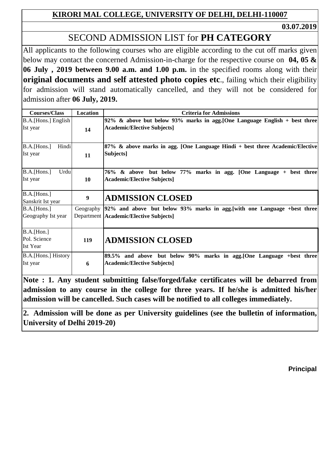**03.07.2019**

# SECOND ADMISSION LIST for **PH CATEGORY**

All applicants to the following courses who are eligible according to the cut off marks given below may contact the concerned Admission-in-charge for the respective course on **04, 05 & 06 July , 2019 between 9.00 a.m. and 1.00 p.m.** in the specified rooms along with their **original documents and self attested photo copies etc**., failing which their eligibility for admission will stand automatically cancelled, and they will not be considered for admission after **06 July, 2019.**

| <b>Courses/Class</b>                                   | Location  | <b>Criteria for Admissions</b>                                                                                       |
|--------------------------------------------------------|-----------|----------------------------------------------------------------------------------------------------------------------|
| B.A. [Hons.] English<br>Ist year                       | 14        | 92% & above but below 93% marks in agg. [One Language English + best three]<br><b>Academic/Elective Subjects]</b>    |
| Hindi<br>B.A.[Hons.]<br>Ist year                       | 11        | 87% & above marks in agg. [One Language Hindi + best three Academic/Elective<br>Subjects]                            |
| Urdu<br>B.A.[Hons.]<br>Ist year                        | <b>10</b> | 76% & above but below 77% marks in agg. [One Language + best three]<br><b>Academic/Elective Subjects]</b>            |
| B.A.[Hons.]<br>Sanskrit Ist year                       | 9         | <b>ADMISSION CLOSED</b>                                                                                              |
| B.A.[Hons.]<br>Geography Ist year                      | Geography | [92% and above but below 93% marks in agg. [with one Language +best three]<br>Department Academic/Elective Subjects] |
| B.A.[ <i>Hom.</i> ]<br>Pol. Science<br><b>Ist Year</b> | 119       | <b>ADMISSION CLOSED</b>                                                                                              |
| B.A.[Hons.] History<br>Ist year                        | 6         | 89.5% and above but below 90% marks in agg. [One Language +best three<br><b>Academic/Elective Subjects]</b>          |

**Note : 1. Any student submitting false/forged/fake certificates will be debarred from admission to any course in the college for three years. If he/she is admitted his/her admission will be cancelled. Such cases will be notified to all colleges immediately.**

**2. Admission will be done as per University guidelines (see the bulletin of information, University of Delhi 2019-20)**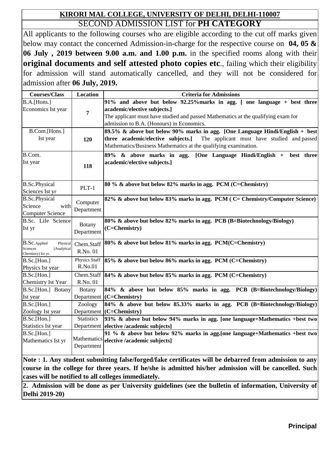#### **KIRORI MAL COLLEGE, UNIVERSITY OF DELHI, DELHI-110007** SECOND ADMISSION LIST for **PH CATEGORY**

All applicants to the following courses who are eligible according to the cut off marks given below may contact the concerned Admission-in-charge for the respective course on **04, 05 & 06 July , 2019 between 9.00 a.m. and 1.00 p.m.** in the specified rooms along with their **original documents and self attested photo copies etc**., failing which their eligibility for admission will stand automatically cancelled, and they will not be considered for admission after **06 July, 2019.**

| B.A.[Hons.]<br>91% and above but below 92.25% marks in agg. [ one language + best three<br>Economics Ist year<br>academic/elective subjects.]<br>$\overline{7}$<br>The applicant must have studied and passed Mathematics at the qualifying exam for<br>admission to B.A. (Honours) in Economics.<br>89.5% & above but below 90% marks in agg. [One Language Hindi/English + best]<br>B.Com.[Hons.]<br>Ist year<br>three academic/elective subjects.]<br>The applicant must have studied and passed<br>120<br>Mathematics/Business Mathematics at the qualifying examination.<br>B.Com.<br>89% & above marks in agg.<br>[One Language Hindi/English + best three<br>Ist year<br>academic/elective subjects.]<br>118<br><b>B.Sc.Physical</b><br>80 % & above but below 82% marks in agg. PCM (C=Chemistry)<br>$PLT-1$<br>Sciences Ist yr<br>82% & above but below 83% marks in agg. PCM (C= Chemistry/Computer Science)<br><b>B.Sc.Physical</b><br>Computer<br>Science<br>with<br>Department<br><b>Computer Science</b> |
|------------------------------------------------------------------------------------------------------------------------------------------------------------------------------------------------------------------------------------------------------------------------------------------------------------------------------------------------------------------------------------------------------------------------------------------------------------------------------------------------------------------------------------------------------------------------------------------------------------------------------------------------------------------------------------------------------------------------------------------------------------------------------------------------------------------------------------------------------------------------------------------------------------------------------------------------------------------------------------------------------------------------|
|                                                                                                                                                                                                                                                                                                                                                                                                                                                                                                                                                                                                                                                                                                                                                                                                                                                                                                                                                                                                                        |
|                                                                                                                                                                                                                                                                                                                                                                                                                                                                                                                                                                                                                                                                                                                                                                                                                                                                                                                                                                                                                        |
|                                                                                                                                                                                                                                                                                                                                                                                                                                                                                                                                                                                                                                                                                                                                                                                                                                                                                                                                                                                                                        |
|                                                                                                                                                                                                                                                                                                                                                                                                                                                                                                                                                                                                                                                                                                                                                                                                                                                                                                                                                                                                                        |
|                                                                                                                                                                                                                                                                                                                                                                                                                                                                                                                                                                                                                                                                                                                                                                                                                                                                                                                                                                                                                        |
|                                                                                                                                                                                                                                                                                                                                                                                                                                                                                                                                                                                                                                                                                                                                                                                                                                                                                                                                                                                                                        |
|                                                                                                                                                                                                                                                                                                                                                                                                                                                                                                                                                                                                                                                                                                                                                                                                                                                                                                                                                                                                                        |
|                                                                                                                                                                                                                                                                                                                                                                                                                                                                                                                                                                                                                                                                                                                                                                                                                                                                                                                                                                                                                        |
|                                                                                                                                                                                                                                                                                                                                                                                                                                                                                                                                                                                                                                                                                                                                                                                                                                                                                                                                                                                                                        |
|                                                                                                                                                                                                                                                                                                                                                                                                                                                                                                                                                                                                                                                                                                                                                                                                                                                                                                                                                                                                                        |
|                                                                                                                                                                                                                                                                                                                                                                                                                                                                                                                                                                                                                                                                                                                                                                                                                                                                                                                                                                                                                        |
|                                                                                                                                                                                                                                                                                                                                                                                                                                                                                                                                                                                                                                                                                                                                                                                                                                                                                                                                                                                                                        |
|                                                                                                                                                                                                                                                                                                                                                                                                                                                                                                                                                                                                                                                                                                                                                                                                                                                                                                                                                                                                                        |
|                                                                                                                                                                                                                                                                                                                                                                                                                                                                                                                                                                                                                                                                                                                                                                                                                                                                                                                                                                                                                        |
|                                                                                                                                                                                                                                                                                                                                                                                                                                                                                                                                                                                                                                                                                                                                                                                                                                                                                                                                                                                                                        |
|                                                                                                                                                                                                                                                                                                                                                                                                                                                                                                                                                                                                                                                                                                                                                                                                                                                                                                                                                                                                                        |
| B.Sc. Life Science<br>80% & above but below 82% marks in agg. PCB (B=Biotechnology/Biology)<br>Botany                                                                                                                                                                                                                                                                                                                                                                                                                                                                                                                                                                                                                                                                                                                                                                                                                                                                                                                  |
| (C=Chemistry)<br>Ist yr<br>Department                                                                                                                                                                                                                                                                                                                                                                                                                                                                                                                                                                                                                                                                                                                                                                                                                                                                                                                                                                                  |
|                                                                                                                                                                                                                                                                                                                                                                                                                                                                                                                                                                                                                                                                                                                                                                                                                                                                                                                                                                                                                        |
| 80% & above but below 81% marks in agg. PCM(C=Chemistry)<br><b>B.Sc.</b> Applied<br>Physical<br>Chem.Staff                                                                                                                                                                                                                                                                                                                                                                                                                                                                                                                                                                                                                                                                                                                                                                                                                                                                                                             |
| Sciences<br>(Analytical<br>R.No. 01<br>Chemistry) Ist yr.                                                                                                                                                                                                                                                                                                                                                                                                                                                                                                                                                                                                                                                                                                                                                                                                                                                                                                                                                              |
| Physics Staff<br>85% & above but below 86% marks in agg. PCM (C=Chemistry)<br>B.Sc.[Hon.]                                                                                                                                                                                                                                                                                                                                                                                                                                                                                                                                                                                                                                                                                                                                                                                                                                                                                                                              |
| R.No.01<br>Physics Ist year                                                                                                                                                                                                                                                                                                                                                                                                                                                                                                                                                                                                                                                                                                                                                                                                                                                                                                                                                                                            |
| Chem.Staff<br>B.Sc.[Hon.]<br>84% & above but below 85% marks in agg. PCM (C=Chemistry)                                                                                                                                                                                                                                                                                                                                                                                                                                                                                                                                                                                                                                                                                                                                                                                                                                                                                                                                 |
| Chemistry Ist Year<br>R.No. 01                                                                                                                                                                                                                                                                                                                                                                                                                                                                                                                                                                                                                                                                                                                                                                                                                                                                                                                                                                                         |
| B.Sc.[Hon.] Botany<br>84% & above but below 85% marks in agg. PCB (B=Biotechnology/Biology)<br><b>Botany</b>                                                                                                                                                                                                                                                                                                                                                                                                                                                                                                                                                                                                                                                                                                                                                                                                                                                                                                           |
| Department (C=Chemistry)<br>Ist year                                                                                                                                                                                                                                                                                                                                                                                                                                                                                                                                                                                                                                                                                                                                                                                                                                                                                                                                                                                   |
| B.Sc.[Hon.]<br>84% & above but below 85.33% marks in agg. PCB (B=Biotechnology/Biology)<br>Zoology                                                                                                                                                                                                                                                                                                                                                                                                                                                                                                                                                                                                                                                                                                                                                                                                                                                                                                                     |
| Department (C=Chemistry)<br>Zoology Ist year                                                                                                                                                                                                                                                                                                                                                                                                                                                                                                                                                                                                                                                                                                                                                                                                                                                                                                                                                                           |
| B.Sc.[Hon.]<br><b>Statistics</b><br>93% & above but below 94% marks in agg. [one language+Mathematics +best two                                                                                                                                                                                                                                                                                                                                                                                                                                                                                                                                                                                                                                                                                                                                                                                                                                                                                                        |
| Statistics Ist year<br>Department<br>elective /academic subjects]                                                                                                                                                                                                                                                                                                                                                                                                                                                                                                                                                                                                                                                                                                                                                                                                                                                                                                                                                      |
| 91 % & above but below 92% marks in agg. [one language+Mathematics +best two<br>B.Sc.[Hon.]                                                                                                                                                                                                                                                                                                                                                                                                                                                                                                                                                                                                                                                                                                                                                                                                                                                                                                                            |
| Mathematics<br>Mathematics Ist yr<br>elective /academic subjects]                                                                                                                                                                                                                                                                                                                                                                                                                                                                                                                                                                                                                                                                                                                                                                                                                                                                                                                                                      |
| Department                                                                                                                                                                                                                                                                                                                                                                                                                                                                                                                                                                                                                                                                                                                                                                                                                                                                                                                                                                                                             |

**Note : 1. Any student submitting false/forged/fake certificates will be debarred from admission to any course in the college for three years. If he/she is admitted his/her admission will be cancelled. Such cases will be notified to all colleges immediately.**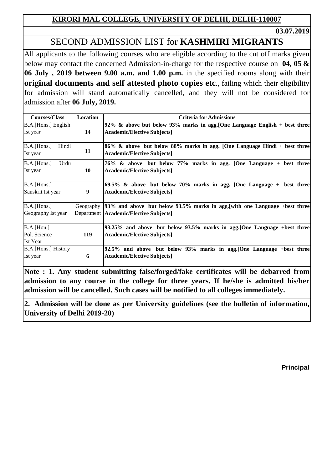**03.07.2019**

## SECOND ADMISSION LIST for **KASHMIRI MIGRANTS**

All applicants to the following courses who are eligible according to the cut off marks given below may contact the concerned Admission-in-charge for the respective course on **04, 05 & 06 July , 2019 between 9.00 a.m. and 1.00 p.m.** in the specified rooms along with their **original documents and self attested photo copies etc**., failing which their eligibility for admission will stand automatically cancelled, and they will not be considered for admission after **06 July, 2019.**

| <b>Courses/Class</b> | Location   | <b>Criteria for Admissions</b>                                                |
|----------------------|------------|-------------------------------------------------------------------------------|
| B.A.[Hons.] English  |            | 92% & above but below 93% marks in agg. [One Language English + best three]   |
| Ist year             | 14         | <b>Academic/Elective Subjects]</b>                                            |
|                      |            |                                                                               |
| Hindi<br>B.A.[Hons.] |            | 86% & above but below 88% marks in agg. [One Language Hindi + best three]     |
| Ist year             | 11         | <b>Academic/Elective Subjects]</b>                                            |
| B.A.[Hons.]<br>Urdu  |            | 76% & above but below 77% marks in agg. [One Language + best three            |
| Ist year             | 10         | <b>Academic/Elective Subjects]</b>                                            |
|                      |            |                                                                               |
| B.A.[Hons.]          |            | 69.5% & above but below 70% marks in agg. [One Language + best three]         |
| Sanskrit Ist year    | 9          | <b>Academic/Elective Subjects]</b>                                            |
|                      |            |                                                                               |
| B.A.[Hons.]          | Geography  | [93% and above but below 93.5% marks in agg. [with one Language + best three] |
| Geography Ist year   |            | Department   Academic/Elective Subjects]                                      |
|                      |            |                                                                               |
| B.A.[ <i>Hom.</i> ]  |            | 93.25% and above but below 93.5% marks in agg. [One Language +best three]     |
| Pol. Science         | <b>119</b> | <b>Academic/Elective Subjects]</b>                                            |
| <b>Ist Year</b>      |            |                                                                               |
| B.A. [Hons.] History |            | 92.5% and above but below 93% marks in agg. [One Language +best three         |
| Ist year             | 6          | <b>Academic/Elective Subjects]</b>                                            |
|                      |            |                                                                               |

**Note : 1. Any student submitting false/forged/fake certificates will be debarred from admission to any course in the college for three years. If he/she is admitted his/her admission will be cancelled. Such cases will be notified to all colleges immediately.**

**2. Admission will be done as per University guidelines (see the bulletin of information, University of Delhi 2019-20)**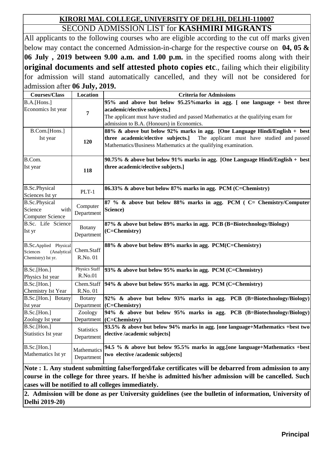### SECOND ADMISSION LIST for **KASHMIRI MIGRANTS KIRORI MAL COLLEGE, UNIVERSITY OF DELHI, DELHI-110007**

All applicants to the following courses who are eligible according to the cut off marks given below may contact the concerned Admission-in-charge for the respective course on **04, 05 & 06 July , 2019 between 9.00 a.m. and 1.00 p.m.** in the specified rooms along with their **original documents and self attested photo copies etc**., failing which their eligibility for admission will stand automatically cancelled, and they will not be considered for admission after **06 July, 2019.**

| <b>Courses/Class</b>                    | <b>Location</b>      | <b>Criteria for Admissions</b>                                                                                                                                                                                                                                                                                                                                                                                                                                                                                                                                                           |
|-----------------------------------------|----------------------|------------------------------------------------------------------------------------------------------------------------------------------------------------------------------------------------------------------------------------------------------------------------------------------------------------------------------------------------------------------------------------------------------------------------------------------------------------------------------------------------------------------------------------------------------------------------------------------|
| B.A.[Hons.]                             |                      | 95% and above but below 95.25% marks in agg. [ one language + best three                                                                                                                                                                                                                                                                                                                                                                                                                                                                                                                 |
| Economics Ist year                      | 7                    | academic/elective subjects.]                                                                                                                                                                                                                                                                                                                                                                                                                                                                                                                                                             |
|                                         |                      | The applicant must have studied and passed Mathematics at the qualifying exam for                                                                                                                                                                                                                                                                                                                                                                                                                                                                                                        |
|                                         |                      | admission to B.A. (Honours) in Economics.                                                                                                                                                                                                                                                                                                                                                                                                                                                                                                                                                |
| B.Com.[Hons.]                           |                      | 88% & above but below 92% marks in agg. [One Language Hindi/English + best]                                                                                                                                                                                                                                                                                                                                                                                                                                                                                                              |
| Ist year                                | 120                  | three academic/elective subjects.] The applicant must have studied and passed<br>Mathematics/Business Mathematics at the qualifying examination.                                                                                                                                                                                                                                                                                                                                                                                                                                         |
|                                         |                      |                                                                                                                                                                                                                                                                                                                                                                                                                                                                                                                                                                                          |
| B.Com.                                  |                      | 90.75% & above but below 91% marks in agg. [One Language Hindi/English + best]                                                                                                                                                                                                                                                                                                                                                                                                                                                                                                           |
| Ist year                                | 118                  | three academic/elective subjects.]                                                                                                                                                                                                                                                                                                                                                                                                                                                                                                                                                       |
|                                         |                      |                                                                                                                                                                                                                                                                                                                                                                                                                                                                                                                                                                                          |
| <b>B.Sc.Physical</b><br>Sciences Ist yr | $PLT-1$              | 86.33% & above but below 87% marks in agg. PCM (C=Chemistry)                                                                                                                                                                                                                                                                                                                                                                                                                                                                                                                             |
| <b>B.Sc.Physical</b>                    | Computer             | 87 % & above but below 88% marks in agg. PCM (C= Chemistry/Computer                                                                                                                                                                                                                                                                                                                                                                                                                                                                                                                      |
| Science<br>with                         | Department           | Science)                                                                                                                                                                                                                                                                                                                                                                                                                                                                                                                                                                                 |
| <b>Computer Science</b>                 |                      |                                                                                                                                                                                                                                                                                                                                                                                                                                                                                                                                                                                          |
| B.Sc. Life Science                      | <b>Botany</b>        | 87% & above but below 89% marks in agg. PCB (B=Biotechnology/Biology)                                                                                                                                                                                                                                                                                                                                                                                                                                                                                                                    |
| Ist yr                                  | Department           | (C=Chemistry)                                                                                                                                                                                                                                                                                                                                                                                                                                                                                                                                                                            |
| B.Sc.Applied Physical                   |                      | 88% & above but below 89% marks in agg. PCM(C=Chemistry)                                                                                                                                                                                                                                                                                                                                                                                                                                                                                                                                 |
| Sciences<br>(Analytical                 | Chem.Staff           |                                                                                                                                                                                                                                                                                                                                                                                                                                                                                                                                                                                          |
| Chemistry) Ist yr.                      | R.No. 01             |                                                                                                                                                                                                                                                                                                                                                                                                                                                                                                                                                                                          |
| B.Sc.[Hon.]                             | <b>Physics Staff</b> | 93% & above but below 95% marks in agg. PCM (C=Chemistry)                                                                                                                                                                                                                                                                                                                                                                                                                                                                                                                                |
| Physics Ist year                        | R.No.01              |                                                                                                                                                                                                                                                                                                                                                                                                                                                                                                                                                                                          |
| B.Sc.[Hon.]                             | Chem.Staff           | [94% & above but below 95% marks in agg. PCM (C=Chemistry)                                                                                                                                                                                                                                                                                                                                                                                                                                                                                                                               |
| Chemistry Ist Year                      | R.No. 01             |                                                                                                                                                                                                                                                                                                                                                                                                                                                                                                                                                                                          |
| B.Sc.[Hon.] Botany                      | Botany               | 92% & above but below 93% marks in agg. PCB (B=Biotechnology/Biology)                                                                                                                                                                                                                                                                                                                                                                                                                                                                                                                    |
| Ist year                                | Department           | $(C=Chemistry)$                                                                                                                                                                                                                                                                                                                                                                                                                                                                                                                                                                          |
| B.Sc.[Hon.]                             | Zoology              | 94% & above but below 95% marks in agg. PCB (B=Biotechnology/Biology)                                                                                                                                                                                                                                                                                                                                                                                                                                                                                                                    |
| Zoology Ist year                        | Department           | (C=Chemistry)                                                                                                                                                                                                                                                                                                                                                                                                                                                                                                                                                                            |
| B.Sc.[Hon.]                             | <b>Statistics</b>    | 93.5% & above but below 94% marks in agg. [one language+Mathematics +best two                                                                                                                                                                                                                                                                                                                                                                                                                                                                                                            |
| Statistics Ist year                     | Department           | elective /academic subjects]                                                                                                                                                                                                                                                                                                                                                                                                                                                                                                                                                             |
| B.Sc.[Hon.]                             | Mathematics          | 94.5 % & above but below 95.5% marks in agg. [one language+Mathematics +best]                                                                                                                                                                                                                                                                                                                                                                                                                                                                                                            |
| Mathematics Ist yr                      | Department           | two elective /academic subjects]                                                                                                                                                                                                                                                                                                                                                                                                                                                                                                                                                         |
| <b>NT AT THE ATT</b>                    |                      | $\mathbf{F}(\mathbf{C}^T) = \mathbf{F}(\mathbf{C}^T)$<br>$\mathbf{F}$<br>$\blacksquare$ $\blacksquare$ $\blacksquare$ $\blacksquare$ $\blacksquare$ $\blacksquare$ $\blacksquare$ $\blacksquare$ $\blacksquare$ $\blacksquare$ $\blacksquare$ $\blacksquare$ $\blacksquare$ $\blacksquare$ $\blacksquare$ $\blacksquare$ $\blacksquare$ $\blacksquare$ $\blacksquare$ $\blacksquare$ $\blacksquare$ $\blacksquare$ $\blacksquare$ $\blacksquare$ $\blacksquare$ $\blacksquare$ $\blacksquare$ $\blacksquare$ $\blacksquare$ $\blacksquare$ $\blacksquare$ $\blacks$<br>$\cdots$ $\cdots$ |

**Note : 1. Any student submitting false/forged/fake certificates will be debarred from admission to any course in the college for three years. If he/she is admitted his/her admission will be cancelled. Such cases will be notified to all colleges immediately.**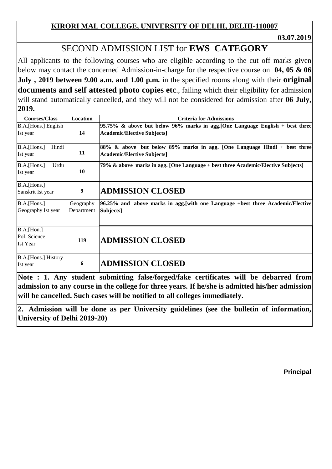**03.07.2019**

# SECOND ADMISSION LIST for **EWS CATEGORY**

All applicants to the following courses who are eligible according to the cut off marks given below may contact the concerned Admission-in-charge for the respective course on **04, 05 & 06 July , 2019 between 9.00 a.m. and 1.00 p.m.** in the specified rooms along with their **original documents and self attested photo copies etc**., failing which their eligibility for admission will stand automatically cancelled, and they will not be considered for admission after **06 July, 2019.**

| <b>Courses/Class</b> | Location   | <b>Criteria for Admissions</b>                                                   |
|----------------------|------------|----------------------------------------------------------------------------------|
| B.A.[Hons.] English  |            | 95.75% & above but below 96% marks in agg. [One Language English + best three    |
| Ist year             | 14         | <b>Academic/Elective Subjects]</b>                                               |
|                      |            |                                                                                  |
| B.A.[Hons.]<br>Hindi |            | 88% & above but below 89% marks in agg. [One Language Hindi + best three]        |
| Ist year             | 11         | <b>Academic/Elective Subjects]</b>                                               |
| Urdu<br>B.A.[Hons.]  |            | 79% & above marks in agg. [One Language + best three Academic/Elective Subjects] |
| Ist year             | 10         |                                                                                  |
| B.A.[Hons.]          |            |                                                                                  |
| Sanskrit Ist year    | 9          | <b>ADMISSION CLOSED</b>                                                          |
| B.A.[Hons.]          | Geography  | 96.25% and above marks in agg. [with one Language +best three Academic/Elective] |
| Geography Ist year   | Department | Subjects]                                                                        |
|                      |            |                                                                                  |
| B.A.[ <i>Hom.</i> ]  |            |                                                                                  |
| Pol. Science         | 119        | <b>ADMISSION CLOSED</b>                                                          |
| <b>Ist Year</b>      |            |                                                                                  |
| B.A. [Hons.] History |            |                                                                                  |
| Ist year             | 6          | <b>ADMISSION CLOSED</b>                                                          |
|                      |            |                                                                                  |

**Note : 1. Any student submitting false/forged/fake certificates will be debarred from admission to any course in the college for three years. If he/she is admitted his/her admission will be cancelled. Such cases will be notified to all colleges immediately.**

**2. Admission will be done as per University guidelines (see the bulletin of information, University of Delhi 2019-20)**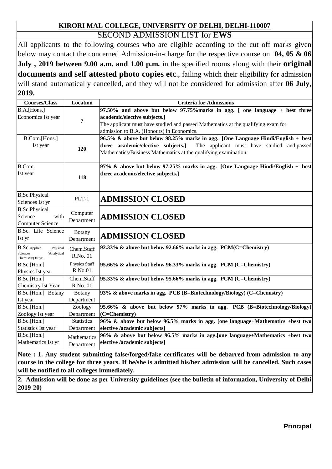#### **KIRORI MAL COLLEGE, UNIVERSITY OF DELHI, DELHI-110007** SECOND ADMISSION LIST for **EWS**

All applicants to the following courses who are eligible according to the cut off marks given below may contact the concerned Admission-in-charge for the respective course on **04, 05 & 06 July , 2019 between 9.00 a.m. and 1.00 p.m.** in the specified rooms along with their **original documents and self attested photo copies etc**., failing which their eligibility for admission will stand automatically cancelled, and they will not be considered for admission after **06 July, 2019.**

| <b>Courses/Class</b>                                                                            | <b>Location</b>                 | <b>Criteria for Admissions</b>                                                                                                                                                                                                                |
|-------------------------------------------------------------------------------------------------|---------------------------------|-----------------------------------------------------------------------------------------------------------------------------------------------------------------------------------------------------------------------------------------------|
| B.A.[Hons.]<br>Economics Ist year                                                               | $\overline{7}$                  | 97.50% and above but below 97.75% marks in agg. [ one language + best three<br>academic/elective subjects.]<br>The applicant must have studied and passed Mathematics at the qualifying exam for<br>admission to B.A. (Honours) in Economics. |
| B.Com.[Hons.]<br>Ist year                                                                       | 120                             | 96.5% & above but below 98.25% marks in agg. [One Language Hindi/English + best]<br>The applicant must have studied and passed<br>three academic/elective subjects.]<br>Mathematics/Business Mathematics at the qualifying examination.       |
| B.Com.<br>Ist year                                                                              | 118                             | 97% & above but below 97.25% marks in agg. [One Language Hindi/English + best]<br>three academic/elective subjects.]                                                                                                                          |
| <b>B.Sc.Physical</b><br>Sciences Ist yr                                                         | $PLT-1$                         | <b>ADMISSION CLOSED</b>                                                                                                                                                                                                                       |
| <b>B.Sc.Physical</b><br>Science<br>with<br><b>Computer Science</b>                              | Computer<br>Department          | <b>ADMISSION CLOSED</b>                                                                                                                                                                                                                       |
| B.Sc. Life Science<br>Ist yr                                                                    | <b>Botany</b><br>Department     | <b>ADMISSION CLOSED</b>                                                                                                                                                                                                                       |
| $\operatorname{B.Sc}$ .<br>Applied<br>Physical<br>Sciences<br>(Analytical<br>Chemistry) Ist yr. | Chem.Staff<br>R.No. 01          | 92.33% & above but below 92.66% marks in agg. PCM(C=Chemistry)                                                                                                                                                                                |
| B.Sc.[Hon.]<br>Physics Ist year                                                                 | <b>Physics Staff</b><br>R.No.01 | 95.66% & above but below 96.33% marks in agg. PCM (C=Chemistry)                                                                                                                                                                               |
| B.Sc.[Hon.]<br>Chemistry Ist Year                                                               | Chem.Staff<br>R.No. 01          | 95.33% & above but below 95.66% marks in agg. PCM $(C=Chemistry)$                                                                                                                                                                             |
| B.Sc.[Hon.] Botany<br>Ist year                                                                  | <b>Botany</b><br>Department     | 93% & above marks in agg. PCB (B=Biotechnology/Biology) (C=Chemistry)                                                                                                                                                                         |
| B.Sc.[Hon.]<br>Zoology Ist year                                                                 | Zoology<br>Department           | 95.66% & above but below 97% marks in agg. PCB (B=Biotechnology/Biology)<br>$(C=Chemistry)$                                                                                                                                                   |
| B.Sc.[Hon.]<br>Statistics Ist year                                                              | <b>Statistics</b><br>Department | 96% & above but below 96.5% marks in agg. [one language+Mathematics +best two<br>elective /academic subjects]                                                                                                                                 |
| B.Sc.[Hon.]<br>Mathematics Ist yr                                                               | Mathematics<br>Department       | 96% & above but below 96.5% marks in agg. [one language+Mathematics +best two<br>elective /academic subjects]                                                                                                                                 |

**Note : 1. Any student submitting false/forged/fake certificates will be debarred from admission to any** course in the college for three years. If he/she is admitted his/her admission will be cancelled. Such cases **will be notified to all colleges immediately.**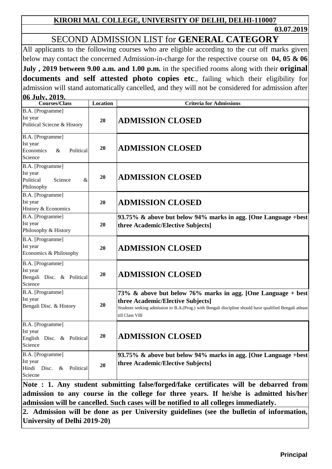**03.07.2019**

### SECOND ADMISSION LIST for **GENERAL CATEGORY**

All applicants to the following courses who are eligible according to the cut off marks given below may contact the concerned Admission-in-charge for the respective course on **04, 05 & 06 July , 2019 between 9.00 a.m. and 1.00 p.m.** in the specified rooms along with their **original documents and self attested photo copies etc**., failing which their eligibility for admission will stand automatically cancelled, and they will not be considered for admission after **06 July, 2019.**

| VV JUIY, 2017.<br><b>Courses/Class</b>                                  | <b>Location</b> | <b>Criteria for Admissions</b>                                                                                                                                                                                                    |
|-------------------------------------------------------------------------|-----------------|-----------------------------------------------------------------------------------------------------------------------------------------------------------------------------------------------------------------------------------|
| B.A. [Programme]<br>Ist year<br>Political Sciecne & History             | 20              | <b>ADMISSION CLOSED</b>                                                                                                                                                                                                           |
| B.A. [Programme]<br>Ist year<br>Political<br>Economics<br>&<br>Science  | 20              | <b>ADMISSION CLOSED</b>                                                                                                                                                                                                           |
| B.A. [Programme]<br>Ist year<br>Political<br>Science<br>&<br>Philosophy | 20              | <b>ADMISSION CLOSED</b>                                                                                                                                                                                                           |
| B.A. [Programme]<br>Ist year<br>History & Economics                     | 20              | <b>ADMISSION CLOSED</b>                                                                                                                                                                                                           |
| B.A. [Programme]<br>Ist year<br>Philosophy & History                    | 20              | 93.75% & above but below 94% marks in agg. [One Language +best]<br>three Academic/Elective Subjects]                                                                                                                              |
| B.A. [Programme]<br>Ist year<br>Economics & Philosophy                  | 20              | <b>ADMISSION CLOSED</b>                                                                                                                                                                                                           |
| B.A. [Programme]<br>Ist year<br>Bengali Disc. & Political<br>Science    | 20              | <b>ADMISSION CLOSED</b>                                                                                                                                                                                                           |
| B.A. [Programme]<br>Ist year<br>Bengali Disc. & History                 | 20              | 73% & above but below 76% marks in agg. [One Language + best]<br>three Academic/Elective Subjects]<br>Students seeking admission to B.A. (Prog.) with Bengali discipline should have qualified Bengali atleast<br>till Class VIII |
| B.A. [Programme]<br>Ist year<br>English Disc. & Political<br>Science    | 20              | <b>ADMISSION CLOSED</b>                                                                                                                                                                                                           |
| B.A. [Programme]<br>Ist year<br>Political<br>Hindi Disc. &<br>Sciecne   | 20              | 93.75% & above but below 94% marks in agg. [One Language +best]<br>three Academic/Elective Subjects]                                                                                                                              |
|                                                                         |                 | Note : 1. Any student submitting false/forged/fake certificates will be debarred from                                                                                                                                             |

**admission to any course in the college for three years. If he/she is admitted his/her admission will be cancelled. Such cases will be notified to all colleges immediately.**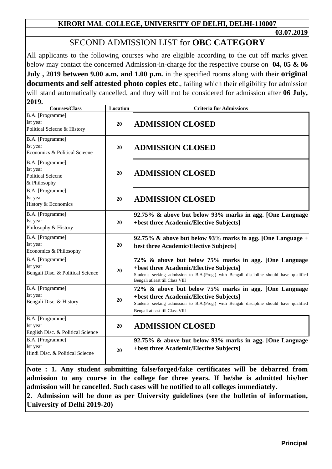**03.07.2019**

### SECOND ADMISSION LIST for **OBC CATEGORY**

All applicants to the following courses who are eligible according to the cut off marks given below may contact the concerned Admission-in-charge for the respective course on **04, 05 & 06 July , 2019 between 9.00 a.m. and 1.00 p.m.** in the specified rooms along with their **original documents and self attested photo copies etc**., failing which their eligibility for admission will stand automatically cancelled, and they will not be considered for admission after **06 July, 2019.**

| <b>Courses/Class</b>                                                     | <b>Location</b> | <b>Criteria for Admissions</b>                                                                                                                                                                                                 |
|--------------------------------------------------------------------------|-----------------|--------------------------------------------------------------------------------------------------------------------------------------------------------------------------------------------------------------------------------|
| B.A. [Programme]<br>Ist year<br>Political Sciecne & History              | 20              | <b>ADMISSION CLOSED</b>                                                                                                                                                                                                        |
| B.A. [Programme]<br>Ist year<br>Economics & Political Sciecne            | 20              | <b>ADMISSION CLOSED</b>                                                                                                                                                                                                        |
| B.A. [Programme]<br>Ist year<br><b>Political Sciecne</b><br>& Philosophy | 20              | <b>ADMISSION CLOSED</b>                                                                                                                                                                                                        |
| B.A. [Programme]<br>Ist year<br>History & Economics                      | 20              | <b>ADMISSION CLOSED</b>                                                                                                                                                                                                        |
| B.A. [Programme]<br>Ist year<br>Philosophy & History                     | 20              | 92.75% & above but below 93% marks in agg. [One Language<br>+best three Academic/Elective Subjects]                                                                                                                            |
| B.A. [Programme]<br>Ist year<br>Economics & Philosophy                   | 20              | 92.75% & above but below 93% marks in agg. [One Language +<br>best three Academic/Elective Subjects]                                                                                                                           |
| B.A. [Programme]<br>Ist year<br>Bengali Disc. & Political Science        | 20              | 72% & above but below 75% marks in agg. [One Language<br>+best three Academic/Elective Subjects]<br>Students seeking admission to B.A.(Prog.) with Bengali discipline should have qualified<br>Bengali atleast till Class VIII |
| B.A. [Programme]<br>Ist year<br>Bengali Disc. & History                  | 20              | 72% & above but below 75% marks in agg. [One Language<br>+best three Academic/Elective Subjects]<br>Students seeking admission to B.A.(Prog.) with Bengali discipline should have qualified<br>Bengali atleast till Class VIII |
| B.A. [Programme]<br>Ist year<br>English Disc. & Political Science        | 20              | <b>ADMISSION CLOSED</b>                                                                                                                                                                                                        |
| B.A. [Programme]<br>Ist year<br>Hindi Disc. & Political Sciecne          | 20              | 92.75% & above but below 93% marks in agg. [One Language<br>+best three Academic/Elective Subjects]                                                                                                                            |

**Note : 1. Any student submitting false/forged/fake certificates will be debarred from admission to any course in the college for three years. If he/she is admitted his/her admission will be cancelled. Such cases will be notified to all colleges immediately.**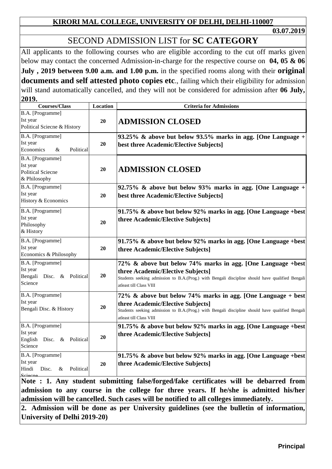**03.07.2019**

# SECOND ADMISSION LIST for **SC CATEGORY**

All applicants to the following courses who are eligible according to the cut off marks given below may contact the concerned Admission-in-charge for the respective course on **04, 05 & 06 July , 2019 between 9.00 a.m. and 1.00 p.m.** in the specified rooms along with their **original documents and self attested photo copies etc**., failing which their eligibility for admission will stand automatically cancelled, and they will not be considered for admission after **06 July, 2019.**

| <b>Courses/Class</b>                                                                                                                                                                                                                                                                                                                                               | Location | <b>Criteria for Admissions</b>                                                                                                                                                                                                   |
|--------------------------------------------------------------------------------------------------------------------------------------------------------------------------------------------------------------------------------------------------------------------------------------------------------------------------------------------------------------------|----------|----------------------------------------------------------------------------------------------------------------------------------------------------------------------------------------------------------------------------------|
| B.A. [Programme]<br>Ist year<br>Political Sciecne & History                                                                                                                                                                                                                                                                                                        | 20       | <b>ADMISSION CLOSED</b>                                                                                                                                                                                                          |
| B.A. [Programme]<br>Ist year<br>Economics<br>Political<br>$\&$                                                                                                                                                                                                                                                                                                     | 20       | 93.25% & above but below 93.5% marks in agg. [One Language $+$<br>best three Academic/Elective Subjects]                                                                                                                         |
| B.A. [Programme]<br>Ist year<br><b>Political Sciecne</b><br>& Philosophy                                                                                                                                                                                                                                                                                           | 20       | <b>ADMISSION CLOSED</b>                                                                                                                                                                                                          |
| B.A. [Programme]<br>Ist year<br>History & Economics                                                                                                                                                                                                                                                                                                                | 20       | 92.75% & above but below 93% marks in agg. [One Language $+$<br>best three Academic/Elective Subjects]                                                                                                                           |
| B.A. [Programme]<br>Ist year<br>Philosophy<br>& History                                                                                                                                                                                                                                                                                                            | 20       | 91.75% & above but below 92% marks in agg. [One Language +best]<br>three Academic/Elective Subjects]                                                                                                                             |
| B.A. [Programme]<br>Ist year<br>Economics & Philosophy                                                                                                                                                                                                                                                                                                             | 20       | 91.75% & above but below 92% marks in agg. [One Language +best]<br>three Academic/Elective Subjects]                                                                                                                             |
| B.A. [Programme]<br>Ist year<br>Bengali Disc. & Political<br>Science                                                                                                                                                                                                                                                                                               | 20       | 72% & above but below 74% marks in agg. [One Language +best]<br>three Academic/Elective Subjects]<br>Students seeking admission to B.A.(Prog.) with Bengali discipline should have qualified Bengali<br>atleast till Class VIII  |
| B.A. [Programme]<br>Ist year<br>Bengali Disc. & History                                                                                                                                                                                                                                                                                                            | 20       | 72% & above but below 74% marks in agg. [One Language + best]<br>three Academic/Elective Subjects]<br>Students seeking admission to B.A.(Prog.) with Bengali discipline should have qualified Bengali<br>atleast till Class VIII |
| B.A. [Programme]<br>Ist year<br>English<br>Disc. & Political<br>Science                                                                                                                                                                                                                                                                                            | 20       | 91.75% & above but below 92% marks in agg. [One Language +best]<br>three Academic/Elective Subjects]                                                                                                                             |
| B.A. [Programme]<br>Ist year<br>Political<br>Hindi<br>Disc.<br>&<br>Sciecne                                                                                                                                                                                                                                                                                        | 20       | 91.75% & above but below 92% marks in agg. [One Language +best]<br>three Academic/Elective Subjects]                                                                                                                             |
| Note : 1. Any student submitting false/forged/fake certificates will be debarred from<br>admission to any course in the college for three years. If he/she is admitted his/her<br>admission will be cancelled. Such cases will be notified to all colleges immediately.<br>2. Admission will be dane as non-University suidelines (see the bulletin of information |          |                                                                                                                                                                                                                                  |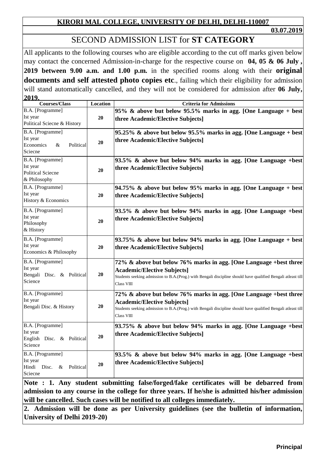**03.07.2019**

### SECOND ADMISSION LIST for **ST CATEGORY**

All applicants to the following courses who are eligible according to the cut off marks given below may contact the concerned Admission-in-charge for the respective course on **04, 05 & 06 July , 2019 between 9.00 a.m. and 1.00 p.m.** in the specified rooms along with their **original documents and self attested photo copies etc**., failing which their eligibility for admission will stand automatically cancelled, and they will not be considered for admission after **06 July, 2019.**

| 4V. J<br><b>Courses/Class</b>                                            | Location | <b>Criteria for Admissions</b>                                                                                                                                                                                                        |
|--------------------------------------------------------------------------|----------|---------------------------------------------------------------------------------------------------------------------------------------------------------------------------------------------------------------------------------------|
| B.A. [Programme]<br>Ist year<br>Political Sciecne & History              | 20       | 95% & above but below 95.5% marks in agg. [One Language + best]<br>three Academic/Elective Subjects]                                                                                                                                  |
| B.A. [Programme]<br>Ist year<br>Economics<br>&<br>Political<br>Sciecne   | 20       | 95.25% & above but below 95.5% marks in agg. [One Language + best]<br>three Academic/Elective Subjects]                                                                                                                               |
| B.A. [Programme]<br>Ist year<br><b>Political Sciecne</b><br>& Philosophy | 20       | 93.5% & above but below 94% marks in agg. [One Language +best]<br>three Academic/Elective Subjects]                                                                                                                                   |
| B.A. [Programme]<br>Ist year<br>History & Economics                      | 20       | 94.75% & above but below 95% marks in agg. [One Language + best]<br>three Academic/Elective Subjects]                                                                                                                                 |
| B.A. [Programme]<br>Ist year<br>Philosophy<br>& History                  | 20       | 93.5% & above but below 94% marks in agg. [One Language +best]<br>three Academic/Elective Subjects]                                                                                                                                   |
| B.A. [Programme]<br>Ist year<br>Economics & Philosophy                   | 20       | 93.75% & above but below 94% marks in agg. [One Language + best]<br>three Academic/Elective Subjects]                                                                                                                                 |
| B.A. [Programme]<br>Ist year<br>Bengali Disc. & Political<br>Science     | 20       | 72% & above but below 76% marks in agg. [One Language +best three<br><b>Academic/Elective Subjects]</b><br>Students seeking admission to B.A.(Prog.) with Bengali discipline should have qualified Bengali atleast till<br>Class VIII |
| B.A. [Programme]<br>Ist year<br>Bengali Disc. & History                  | 20       | 72% & above but below 76% marks in agg. [One Language +best three<br><b>Academic/Elective Subjects]</b><br>Students seeking admission to B.A.(Prog.) with Bengali discipline should have qualified Bengali atleast till<br>Class VIII |
| B.A. [Programme]<br>Ist year<br>English Disc. & Political<br>Science     | 20       | 93.75% & above but below 94% marks in agg. [One Language +best]<br>three Academic/Elective Subjects]                                                                                                                                  |
| B.A. [Programme]<br>Ist year<br>Hindi Disc.<br>Political<br>&<br>Sciecne | 20       | 93.5% & above but below 94% marks in agg. [One Language +best]<br>three Academic/Elective Subjects]                                                                                                                                   |

**Note : 1. Any student submitting false/forged/fake certificates will be debarred from admission to any course in the college for three years. If he/she is admitted his/her admission will be cancelled. Such cases will be notified to all colleges immediately.**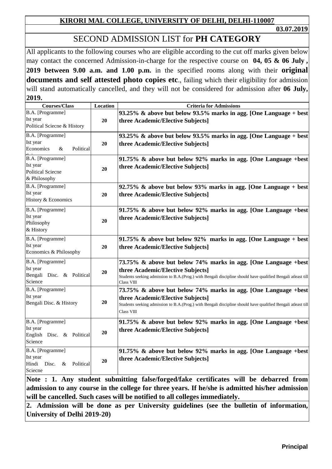**03.07.2019**

## SECOND ADMISSION LIST for **PH CATEGORY**

All applicants to the following courses who are eligible according to the cut off marks given below may contact the concerned Admission-in-charge for the respective course on **04, 05 & 06 July , 2019 between 9.00 a.m. and 1.00 p.m.** in the specified rooms along with their **original documents and self attested photo copies etc**., failing which their eligibility for admission will stand automatically cancelled, and they will not be considered for admission after **06 July, 2019.**

| <b>Courses/Class</b>                                                     | Location | <b>Criteria for Admissions</b>                                                                                                                                                                                                     |
|--------------------------------------------------------------------------|----------|------------------------------------------------------------------------------------------------------------------------------------------------------------------------------------------------------------------------------------|
| B.A. [Programme]<br>Ist year<br>Political Sciecne & History              | 20       | 93.25% & above but below 93.5% marks in agg. [One Language + best]<br>three Academic/Elective Subjects]                                                                                                                            |
| B.A. [Programme]<br>Ist year<br>Economics<br>Political<br>&              | 20       | 93.25% & above but below 93.5% marks in agg. [One Language + best]<br>three Academic/Elective Subjects]                                                                                                                            |
| B.A. [Programme]<br>Ist year<br><b>Political Sciecne</b><br>& Philosophy | 20       | 91.75% & above but below 92% marks in agg. [One Language +best<br>three Academic/Elective Subjects]                                                                                                                                |
| B.A. [Programme]<br>Ist year<br>History & Economics                      | 20       | 92.75% & above but below 93% marks in agg. [One Language + best<br>three Academic/Elective Subjects]                                                                                                                               |
| B.A. [Programme]<br>Ist year<br>Philosophy<br>& History                  | 20       | 91.75% & above but below 92% marks in agg. [One Language +best]<br>three Academic/Elective Subjects]                                                                                                                               |
| B.A. [Programme]<br>Ist year<br>Economics & Philosophy                   | 20       | 91.75% & above but below 92% marks in agg. [One Language + best]<br>three Academic/Elective Subjects]                                                                                                                              |
| B.A. [Programme]<br>Ist year<br>Bengali Disc. & Political<br>Science     | 20       | 73.75% & above but below 74% marks in agg. [One Language +best]<br>three Academic/Elective Subjects]<br>Students seeking admission to B.A.(Prog.) with Bengali discipline should have qualified Bengali atleast till<br>Class VIII |
| B.A. [Programme]<br>Ist year<br>Bengali Disc. & History                  | 20       | 73.75% & above but below 74% marks in agg. [One Language +best<br>three Academic/Elective Subjects]<br>Students seeking admission to B.A.(Prog.) with Bengali discipline should have qualified Bengali atleast till<br>Class VIII  |
| B.A. [Programme]<br>Ist year<br>English Disc. & Political<br>Science     | 20       | 91.75% & above but below 92% marks in agg. [One Language +best]<br>three Academic/Elective Subjects]                                                                                                                               |
| B.A. [Programme]<br>Ist year<br>Hindi Disc.<br>Political<br>&<br>Sciecne | 20       | 91.75% & above but below 92% marks in agg. [One Language +best]<br>three Academic/Elective Subjects]                                                                                                                               |

**Note : 1. Any student submitting false/forged/fake certificates will be debarred from admission to any course in the college for three years. If he/she is admitted his/her admission will be cancelled. Such cases will be notified to all colleges immediately.**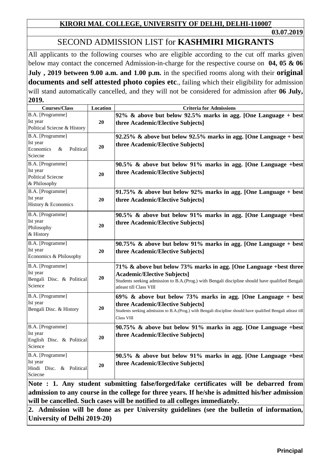# SECOND ADMISSION LIST for **KASHMIRI MIGRANTS**

All applicants to the following courses who are eligible according to the cut off marks given below may contact the concerned Admission-in-charge for the respective course on **04, 05 & 06 July , 2019 between 9.00 a.m. and 1.00 p.m.** in the specified rooms along with their **original documents and self attested photo copies etc**., failing which their eligibility for admission will stand automatically cancelled, and they will not be considered for admission after **06 July, 2019.**

| <b>Courses/Class</b>                                                     | Location | <b>Criteria for Admissions</b>                                                                                                                                                                                                        |
|--------------------------------------------------------------------------|----------|---------------------------------------------------------------------------------------------------------------------------------------------------------------------------------------------------------------------------------------|
| B.A. [Programme]<br>Ist year<br>Political Sciecne & History              | 20       | 92% & above but below 92.5% marks in agg. [One Language + best]<br>three Academic/Elective Subjects]                                                                                                                                  |
| B.A. [Programme]<br>Ist year<br>Economics<br>Political<br>&<br>Sciecne   | 20       | 92.25% & above but below 92.5% marks in agg. [One Language + best]<br>three Academic/Elective Subjects]                                                                                                                               |
| B.A. [Programme]<br>Ist year<br><b>Political Sciecne</b><br>& Philosophy | 20       | 90.5% & above but below 91% marks in agg. [One Language +best]<br>three Academic/Elective Subjects]                                                                                                                                   |
| B.A. [Programme]<br>Ist year<br>History & Economics                      | 20       | 91.75% & above but below 92% marks in agg. [One Language + best]<br>three Academic/Elective Subjects]                                                                                                                                 |
| B.A. [Programme]<br>Ist year<br>Philosophy<br>& History                  | 20       | 90.5% & above but below 91% marks in agg. [One Language +best]<br>three Academic/Elective Subjects]                                                                                                                                   |
| B.A. [Programme]<br>Ist year<br>Economics & Philosophy                   | 20       | $90.75\%$ & above but below 91% marks in agg. [One Language + best]<br>three Academic/Elective Subjects]                                                                                                                              |
| B.A. [Programme]<br>Ist year<br>Bengali Disc. & Political<br>Science     | 20       | 71% & above but below 73% marks in agg. [One Language +best three<br><b>Academic/Elective Subjects]</b><br>Students seeking admission to B.A.(Prog.) with Bengali discipline should have qualified Bengali<br>atleast till Class VIII |
| B.A. [Programme]<br>Ist year<br>Bengali Disc. & History                  | 20       | 69% & above but below 73% marks in agg. [One Language + best]<br>three Academic/Elective Subjects]<br>Students seeking admission to B.A.(Prog.) with Bengali discipline should have qualified Bengali atleast till<br>Class VIII      |
| B.A. [Programme]<br>Ist year<br>English Disc. & Political<br>Science     | 20       | 90.75% & above but below 91% marks in agg. [One Language +best]<br>three Academic/Elective Subjects]                                                                                                                                  |
| B.A. [Programme]<br>Ist year<br>Hindi Disc. & Political<br>Sciecne       | 20       | 90.5% & above but below 91% marks in agg. [One Language +best]<br>three Academic/Elective Subjects]                                                                                                                                   |

**Note : 1. Any student submitting false/forged/fake certificates will be debarred from admission to any course in the college for three years. If he/she is admitted his/her admission will be cancelled. Such cases will be notified to all colleges immediately.**